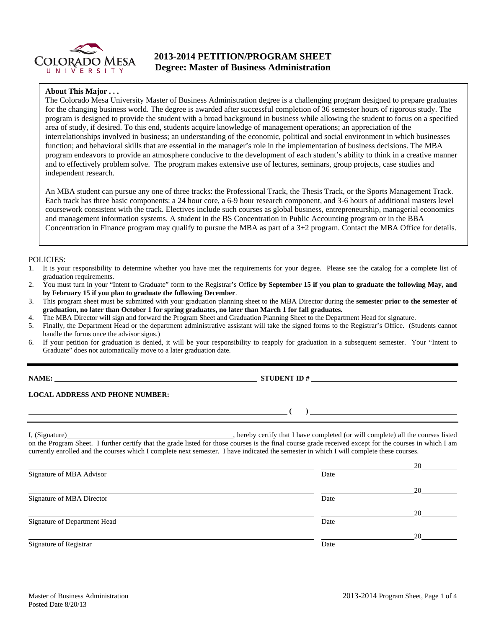

## **2013-2014 PETITION/PROGRAM SHEET Degree: Master of Business Administration**

#### **About This Major . . .**

The Colorado Mesa University Master of Business Administration degree is a challenging program designed to prepare graduates for the changing business world. The degree is awarded after successful completion of 36 semester hours of rigorous study. The program is designed to provide the student with a broad background in business while allowing the student to focus on a specified area of study, if desired. To this end, students acquire knowledge of management operations; an appreciation of the interrelationships involved in business; an understanding of the economic, political and social environment in which businesses function; and behavioral skills that are essential in the manager's role in the implementation of business decisions. The MBA program endeavors to provide an atmosphere conducive to the development of each student's ability to think in a creative manner and to effectively problem solve. The program makes extensive use of lectures, seminars, group projects, case studies and independent research.

An MBA student can pursue any one of three tracks: the Professional Track, the Thesis Track, or the Sports Management Track. Each track has three basic components: a 24 hour core, a 6-9 hour research component, and 3-6 hours of additional masters level coursework consistent with the track. Electives include such courses as global business, entrepreneurship, managerial economics and management information systems. A student in the BS Concentration in Public Accounting program or in the BBA Concentration in Finance program may qualify to pursue the MBA as part of a 3+2 program. Contact the MBA Office for details.

#### POLICIES:

- 1. It is your responsibility to determine whether you have met the requirements for your degree. Please see the catalog for a complete list of graduation requirements.
- 2. You must turn in your "Intent to Graduate" form to the Registrar's Office **by September 15 if you plan to graduate the following May, and by February 15 if you plan to graduate the following December**.
- 3. This program sheet must be submitted with your graduation planning sheet to the MBA Director during the **semester prior to the semester of graduation, no later than October 1 for spring graduates, no later than March 1 for fall graduates.**
- 4. The MBA Director will sign and forward the Program Sheet and Graduation Planning Sheet to the Department Head for signature.
- 5. Finally, the Department Head or the department administrative assistant will take the signed forms to the Registrar's Office. (Students cannot handle the forms once the advisor signs.)
- 6. If your petition for graduation is denied, it will be your responsibility to reapply for graduation in a subsequent semester. Your "Intent to Graduate" does not automatically move to a later graduation date.

**NAME: STUDENT ID # STUDENT ID # STUDENT ID # STUDENT ID # STUDENT ID # STUDENT ID # STUDENT ID # STUDENT ID # STUDENT ID # STUDENT 1D + STUDENT 1D + STUDENT 1D + STUDENT 1D + STUDENT 1D + STU** 

 **( )** 

#### **LOCAL ADDRESS AND PHONE NUMBER:**

I, (Signature) , hereby certify that I have completed (or will complete) all the courses listed on the Program Sheet. I further certify that the grade listed for those courses is the final course grade received except for the courses in which I am currently enrolled and the courses which I complete next semester. I have indicated the semester in which I will complete these courses.

|                              |      | 20 |
|------------------------------|------|----|
| Signature of MBA Advisor     | Date |    |
|                              |      | 20 |
| Signature of MBA Director    | Date |    |
|                              |      | 20 |
| Signature of Department Head | Date |    |
|                              |      | 20 |
| Signature of Registrar       | Date |    |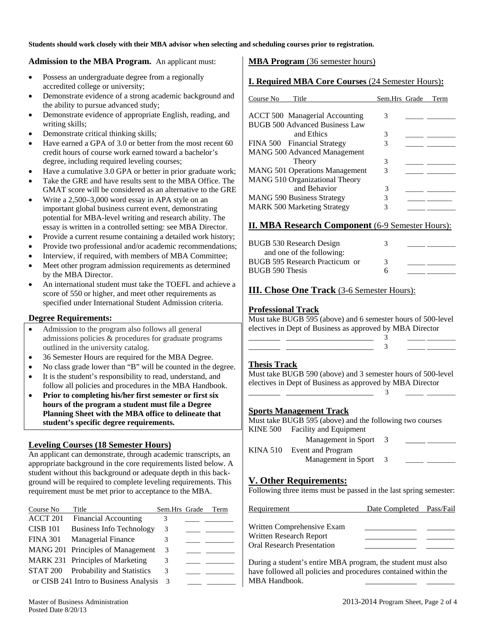**Students should work closely with their MBA advisor when selecting and scheduling courses prior to registration.** 

#### **Admission to the MBA Program.** An applicant must:

- Possess an undergraduate degree from a regionally accredited college or university;
- Demonstrate evidence of a strong academic background and the ability to pursue advanced study;
- Demonstrate evidence of appropriate English, reading, and writing skills;
- Demonstrate critical thinking skills;
- Have earned a GPA of 3.0 or better from the most recent 60 credit hours of course work earned toward a bachelor's degree, including required leveling courses;
- Have a cumulative 3.0 GPA or better in prior graduate work;
- Take the GRE and have results sent to the MBA Office. The GMAT score will be considered as an alternative to the GRE
- Write a 2,500–3,000 word essay in APA style on an important global business current event, demonstrating potential for MBA-level writing and research ability. The essay is written in a controlled setting: see MBA Director.
- Provide a current resume containing a detailed work history;
- Provide two professional and/or academic recommendations;
- Interview, if required, with members of MBA Committee;
- Meet other program admission requirements as determined by the MBA Director.
- An international student must take the TOEFL and achieve a score of 550 or higher, and meet other requirements as specified under International Student Admission criteria.

### **Degree Requirements:**

- Admission to the program also follows all general admissions policies & procedures for graduate programs outlined in the university catalog.
- 36 Semester Hours are required for the MBA Degree.
- No class grade lower than "B" will be counted in the degree.
- It is the student's responsibility to read, understand, and follow all policies and procedures in the MBA Handbook.
- **Prior to completing his/her first semester or first six hours of the program a student must file a Degree Planning Sheet with the MBA office to delineate that student's specific degree requirements.**

### **Leveling Courses (18 Semester Hours)**

An applicant can demonstrate, through academic transcripts, an appropriate background in the core requirements listed below. A student without this background or adequate depth in this background will be required to complete leveling requirements. This requirement must be met prior to acceptance to the MBA.

| Course No       | Title                                  | Sem.Hrs Grade | Term |
|-----------------|----------------------------------------|---------------|------|
| ACCT 201        | <b>Financial Accounting</b>            | 3             |      |
| <b>CISB 101</b> | <b>Business Info Technology</b>        | 3             |      |
| <b>FINA 301</b> | <b>Managerial Finance</b>              | 3             |      |
|                 | MANG 201 Principles of Management      | 3             |      |
|                 | MARK 231 Principles of Marketing       | 3             |      |
| STAT 200        | <b>Probability and Statistics</b>      | 3             |      |
|                 | or CISB 241 Intro to Business Analysis | 3             |      |

## **MBA Program** (36 semester hours)

## **I. Required MBA Core Courses** (24 Semester Hours)**:**

| Course No<br>Title                                  | Sem.Hrs Grade | Term |
|-----------------------------------------------------|---------------|------|
| <b>ACCT 500 Managerial Accounting</b>               | 3             |      |
| <b>BUGB 500 Advanced Business Law</b><br>and Ethics | 3             |      |
| FINA 500 Financial Strategy                         | 3             |      |
| <b>MANG 500 Advanced Management</b>                 |               |      |
| Theory                                              | 3             |      |
| <b>MANG 501 Operations Management</b>               | 3             |      |
| MANG 510 Organizational Theory                      |               |      |
| and Behavior                                        | 3             |      |
| <b>MANG 590 Business Strategy</b>                   | 3             |      |
| <b>MARK 500 Marketing Strategy</b>                  |               |      |

## **II. MBA Research Component** (6-9 Semester Hours):

| BUGB 530 Research Design       | 3 |  |
|--------------------------------|---|--|
| and one of the following:      |   |  |
| BUGB 595 Research Practicum or | 3 |  |
| BUGB 590 Thesis                | h |  |

### **III. Chose One Track** (3-6 Semester Hours):

 $\frac{1}{3}$ 

 $\frac{1}{3}$ 

## **Professional Track**

Must take BUGB 595 (above) and 6 semester hours of 500-level electives in Dept of Business as approved by MBA Director

### **Thesis Track**

Must take BUGB 590 (above) and 3 semester hours of 500-level electives in Dept of Business as approved by MBA Director

#### **Sports Management Track**

Must take BUGB 595 (above) and the following two courses KINE 500 Facility and Equipment

| Management in Sport        |  |
|----------------------------|--|
| KINA 510 Event and Program |  |
| Management in Sport        |  |

# **V. Other Requirements:**

Following three items must be passed in the last spring semester:

| Date Completed Pass/Fail                              |  |
|-------------------------------------------------------|--|
| Written Comprehensive Exam<br>Written Research Report |  |
| <b>Oral Research Presentation</b>                     |  |

During a student's entire MBA program, the student must also have followed all policies and procedures contained within the MBA Handbook.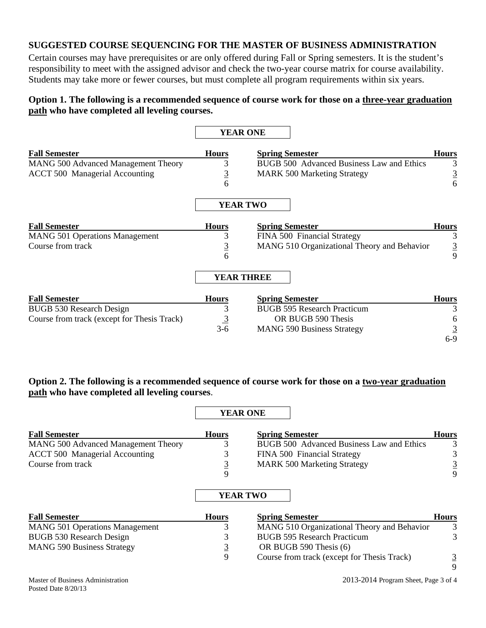## **SUGGESTED COURSE SEQUENCING FOR THE MASTER OF BUSINESS ADMINISTRATION**

Certain courses may have prerequisites or are only offered during Fall or Spring semesters. It is the student's responsibility to meet with the assigned advisor and check the two-year course matrix for course availability. Students may take more or fewer courses, but must complete all program requirements within six years.

# **Option 1. The following is a recommended sequence of course work for those on a three-year graduation path who have completed all leveling courses.**

|                                             | <b>YEAR ONE</b>   |                                                  |                |
|---------------------------------------------|-------------------|--------------------------------------------------|----------------|
| <b>Fall Semester</b>                        | <b>Hours</b>      | <b>Spring Semester</b>                           | <b>Hours</b>   |
| <b>MANG 500 Advanced Management Theory</b>  | 3                 | <b>BUGB 500 Advanced Business Law and Ethics</b> | 3              |
| <b>ACCT 500 Managerial Accounting</b>       | $\overline{3}$    | <b>MARK 500 Marketing Strategy</b>               | $\overline{3}$ |
|                                             | 6                 |                                                  | 6              |
|                                             | <b>YEAR TWO</b>   |                                                  |                |
| <b>Fall Semester</b>                        | <b>Hours</b>      | <b>Spring Semester</b>                           | <b>Hours</b>   |
| <b>MANG 501 Operations Management</b>       | 3                 | FINA 500 Financial Strategy                      | 3              |
| Course from track                           | $rac{3}{6}$       | MANG 510 Organizational Theory and Behavior      | $rac{3}{9}$    |
|                                             |                   |                                                  |                |
|                                             | <b>YEAR THREE</b> |                                                  |                |
| <b>Fall Semester</b>                        | <b>Hours</b>      | <b>Spring Semester</b>                           | <b>Hours</b>   |
| BUGB 530 Research Design                    | 3                 | <b>BUGB 595 Research Practicum</b>               | 3              |
| Course from track (except for Thesis Track) | $\frac{3}{3-6}$   | OR BUGB 590 Thesis                               | 6              |
|                                             |                   | <b>MANG 590 Business Strategy</b>                | $\overline{3}$ |
|                                             |                   |                                                  | $6 - 9$        |

# **Option 2. The following is a recommended sequence of course work for those on a two-year graduation path who have completed all leveling courses**.

 $\mathsf I$ 

**YEAR ONE** 

|                                            |                | 1 EAR VALL                                  |              |
|--------------------------------------------|----------------|---------------------------------------------|--------------|
| <b>Fall Semester</b>                       | <b>Hours</b>   | <b>Spring Semester</b>                      | <b>Hours</b> |
| <b>MANG 500 Advanced Management Theory</b> | 3              | BUGB 500 Advanced Business Law and Ethics   | 3            |
| <b>ACCT 500 Managerial Accounting</b>      | 3              | FINA 500 Financial Strategy                 |              |
| Course from track                          | $\overline{3}$ | <b>MARK 500 Marketing Strategy</b>          |              |
|                                            | 9              |                                             | 9            |
|                                            |                | <b>YEAR TWO</b>                             |              |
| <b>Fall Semester</b>                       | <b>Hours</b>   | <b>Spring Semester</b>                      | <b>Hours</b> |
| <b>MANG 501 Operations Management</b>      | 3              | MANG 510 Organizational Theory and Behavior | 3            |
| <b>BUGB 530 Research Design</b>            | 3              | <b>BUGB 595 Research Practicum</b>          |              |
| <b>MANG 590 Business Strategy</b>          |                | OR BUGB 590 Thesis (6)                      |              |

Course from track (except for Thesis Track)  $\frac{3}{5}$ 

9

9